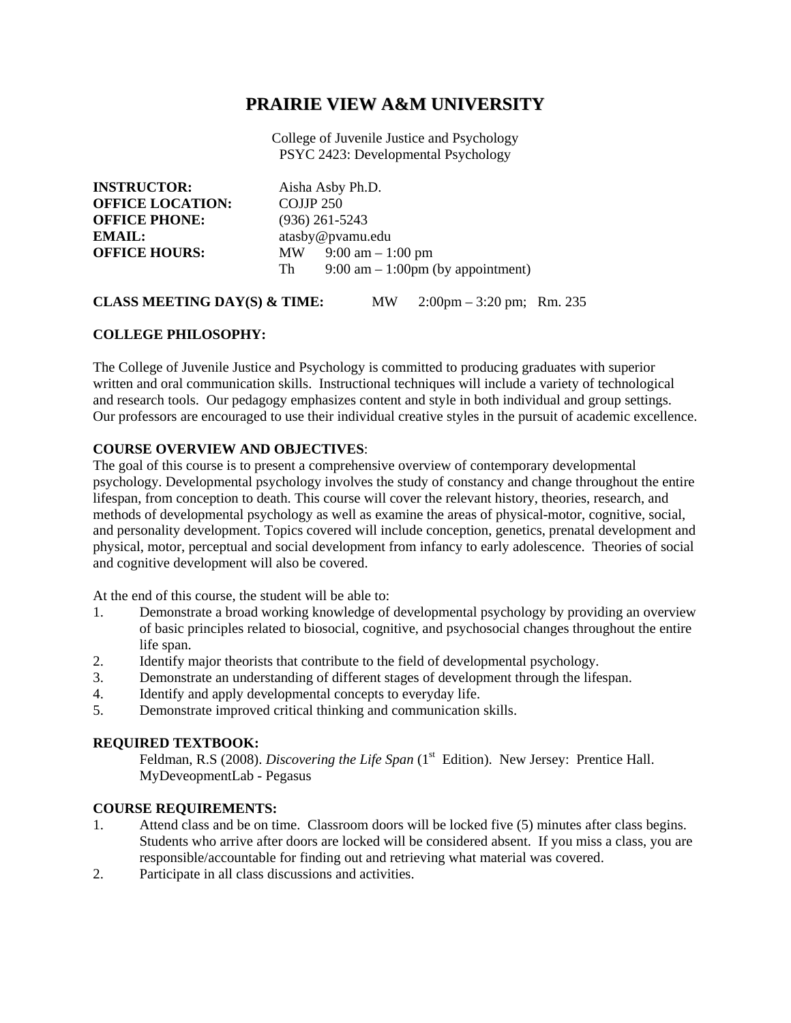# **PRAIRIE VIEW A&M UNIVERSITY**

College of Juvenile Justice and Psychology PSYC 2423: Developmental Psychology

| <b>INSTRUCTOR:</b>      |                      | Aisha Asby Ph.D.                                     |
|-------------------------|----------------------|------------------------------------------------------|
| <b>OFFICE LOCATION:</b> | COJJP <sub>250</sub> |                                                      |
| <b>OFFICE PHONE:</b>    | $(936)$ 261-5243     |                                                      |
| <b>EMAIL:</b>           | atasby@pvamu.edu     |                                                      |
| <b>OFFICE HOURS:</b>    | MW .                 | $9:00 \text{ am} - 1:00 \text{ pm}$                  |
|                         | Th.                  | $9:00 \text{ am} - 1:00 \text{ pm}$ (by appointment) |

# **CLASS MEETING DAY(S) & TIME:** MW 2:00pm – 3:20 pm; Rm. 235

#### **COLLEGE PHILOSOPHY:**

The College of Juvenile Justice and Psychology is committed to producing graduates with superior written and oral communication skills. Instructional techniques will include a variety of technological and research tools. Our pedagogy emphasizes content and style in both individual and group settings. Our professors are encouraged to use their individual creative styles in the pursuit of academic excellence.

## **COURSE OVERVIEW AND OBJECTIVES**:

The goal of this course is to present a comprehensive overview of contemporary developmental psychology. Developmental psychology involves the study of constancy and change throughout the entire lifespan, from conception to death. This course will cover the relevant history, theories, research, and methods of developmental psychology as well as examine the areas of physical-motor, cognitive, social, and personality development. Topics covered will include conception, genetics, prenatal development and physical, motor, perceptual and social development from infancy to early adolescence. Theories of social and cognitive development will also be covered.

At the end of this course, the student will be able to:

- 1. Demonstrate a broad working knowledge of developmental psychology by providing an overview of basic principles related to biosocial, cognitive, and psychosocial changes throughout the entire life span.
- 2. Identify major theorists that contribute to the field of developmental psychology.
- 3. Demonstrate an understanding of different stages of development through the lifespan.
- 4. Identify and apply developmental concepts to everyday life.
- 5. Demonstrate improved critical thinking and communication skills.

## **REQUIRED TEXTBOOK:**

Feldman, R.S (2008). *Discovering the Life Span* (1<sup>st</sup> Edition). New Jersey: Prentice Hall. MyDeveopmentLab - Pegasus

#### **COURSE REQUIREMENTS:**

- 1. Attend class and be on time. Classroom doors will be locked five (5) minutes after class begins. Students who arrive after doors are locked will be considered absent. If you miss a class, you are responsible/accountable for finding out and retrieving what material was covered.
- 2. Participate in all class discussions and activities.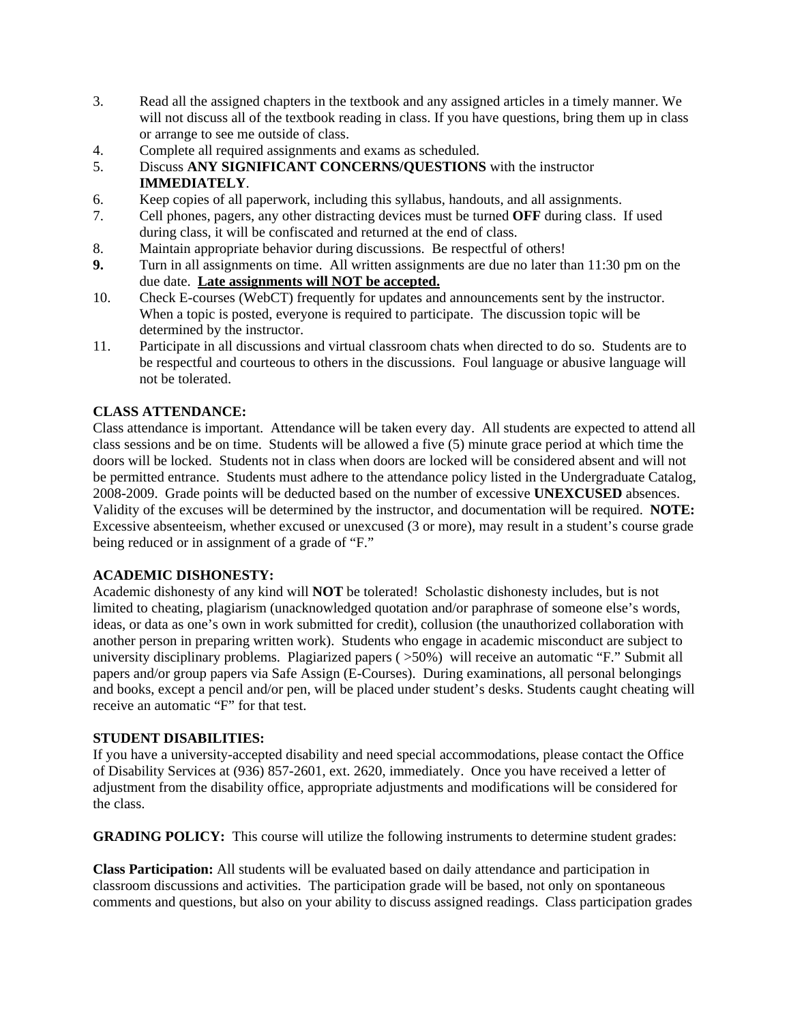- 3. Read all the assigned chapters in the textbook and any assigned articles in a timely manner. We will not discuss all of the textbook reading in class. If you have questions, bring them up in class or arrange to see me outside of class.
- 4. Complete all required assignments and exams as scheduled.
- 5. Discuss **ANY SIGNIFICANT CONCERNS/QUESTIONS** with the instructor **IMMEDIATELY**.
- 6. Keep copies of all paperwork, including this syllabus, handouts, and all assignments.
- 7. Cell phones, pagers, any other distracting devices must be turned **OFF** during class. If used during class, it will be confiscated and returned at the end of class.
- 8. Maintain appropriate behavior during discussions. Be respectful of others!
- **9.** Turn in all assignments on time. All written assignments are due no later than 11:30 pm on the due date. **Late assignments will NOT be accepted.**
- 10. Check E-courses (WebCT) frequently for updates and announcements sent by the instructor. When a topic is posted, everyone is required to participate. The discussion topic will be determined by the instructor.
- 11. Participate in all discussions and virtual classroom chats when directed to do so. Students are to be respectful and courteous to others in the discussions. Foul language or abusive language will not be tolerated.

# **CLASS ATTENDANCE:**

Class attendance is important. Attendance will be taken every day. All students are expected to attend all class sessions and be on time. Students will be allowed a five (5) minute grace period at which time the doors will be locked. Students not in class when doors are locked will be considered absent and will not be permitted entrance. Students must adhere to the attendance policy listed in the Undergraduate Catalog, 2008-2009. Grade points will be deducted based on the number of excessive **UNEXCUSED** absences. Validity of the excuses will be determined by the instructor, and documentation will be required. **NOTE:** Excessive absenteeism, whether excused or unexcused (3 or more), may result in a student's course grade being reduced or in assignment of a grade of "F."

# **ACADEMIC DISHONESTY:**

Academic dishonesty of any kind will **NOT** be tolerated! Scholastic dishonesty includes, but is not limited to cheating, plagiarism (unacknowledged quotation and/or paraphrase of someone else's words, ideas, or data as one's own in work submitted for credit), collusion (the unauthorized collaboration with another person in preparing written work). Students who engage in academic misconduct are subject to university disciplinary problems. Plagiarized papers ( >50%) will receive an automatic "F." Submit all papers and/or group papers via Safe Assign (E-Courses). During examinations, all personal belongings and books, except a pencil and/or pen, will be placed under student's desks. Students caught cheating will receive an automatic "F" for that test.

## **STUDENT DISABILITIES:**

If you have a university-accepted disability and need special accommodations, please contact the Office of Disability Services at (936) 857-2601, ext. 2620, immediately. Once you have received a letter of adjustment from the disability office, appropriate adjustments and modifications will be considered for the class.

**GRADING POLICY:** This course will utilize the following instruments to determine student grades:

**Class Participation:** All students will be evaluated based on daily attendance and participation in classroom discussions and activities. The participation grade will be based, not only on spontaneous comments and questions, but also on your ability to discuss assigned readings. Class participation grades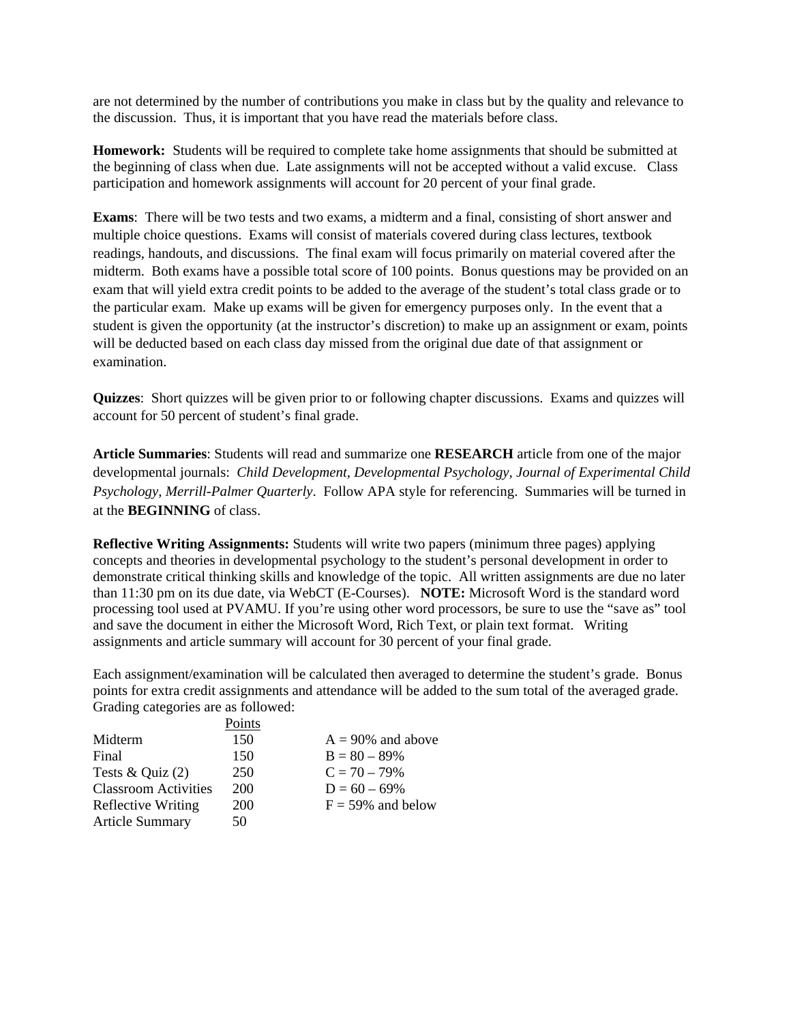are not determined by the number of contributions you make in class but by the quality and relevance to the discussion. Thus, it is important that you have read the materials before class.

**Homework:** Students will be required to complete take home assignments that should be submitted at the beginning of class when due. Late assignments will not be accepted without a valid excuse. Class participation and homework assignments will account for 20 percent of your final grade.

**Exams**: There will be two tests and two exams, a midterm and a final, consisting of short answer and multiple choice questions. Exams will consist of materials covered during class lectures, textbook readings, handouts, and discussions. The final exam will focus primarily on material covered after the midterm. Both exams have a possible total score of 100 points. Bonus questions may be provided on an exam that will yield extra credit points to be added to the average of the student's total class grade or to the particular exam. Make up exams will be given for emergency purposes only. In the event that a student is given the opportunity (at the instructor's discretion) to make up an assignment or exam, points will be deducted based on each class day missed from the original due date of that assignment or examination.

**Quizzes**: Short quizzes will be given prior to or following chapter discussions. Exams and quizzes will account for 50 percent of student's final grade.

**Article Summaries**: Students will read and summarize one **RESEARCH** article from one of the major developmental journals: *Child Development, Developmental Psychology, Journal of Experimental Child Psychology, Merrill-Palmer Quarterly*. Follow APA style for referencing. Summaries will be turned in at the **BEGINNING** of class.

**Reflective Writing Assignments:** Students will write two papers (minimum three pages) applying concepts and theories in developmental psychology to the student's personal development in order to demonstrate critical thinking skills and knowledge of the topic. All written assignments are due no later than 11:30 pm on its due date, via WebCT (E-Courses). **NOTE:** Microsoft Word is the standard word processing tool used at PVAMU. If you're using other word processors, be sure to use the "save as" tool and save the document in either the Microsoft Word, Rich Text, or plain text format. Writing assignments and article summary will account for 30 percent of your final grade.

Each assignment/examination will be calculated then averaged to determine the student's grade. Bonus points for extra credit assignments and attendance will be added to the sum total of the averaged grade. Grading categories are as followed:

|                             | Points     |                      |
|-----------------------------|------------|----------------------|
| Midterm                     | 150        | $A = 90\%$ and above |
| Final                       | 150        | $B = 80 - 89\%$      |
| Tests $&$ Quiz $(2)$        | 250        | $C = 70 - 79\%$      |
| <b>Classroom Activities</b> | 200        | $D = 60 - 69\%$      |
| <b>Reflective Writing</b>   | <b>200</b> | $F = 59\%$ and below |
| <b>Article Summary</b>      | 50         |                      |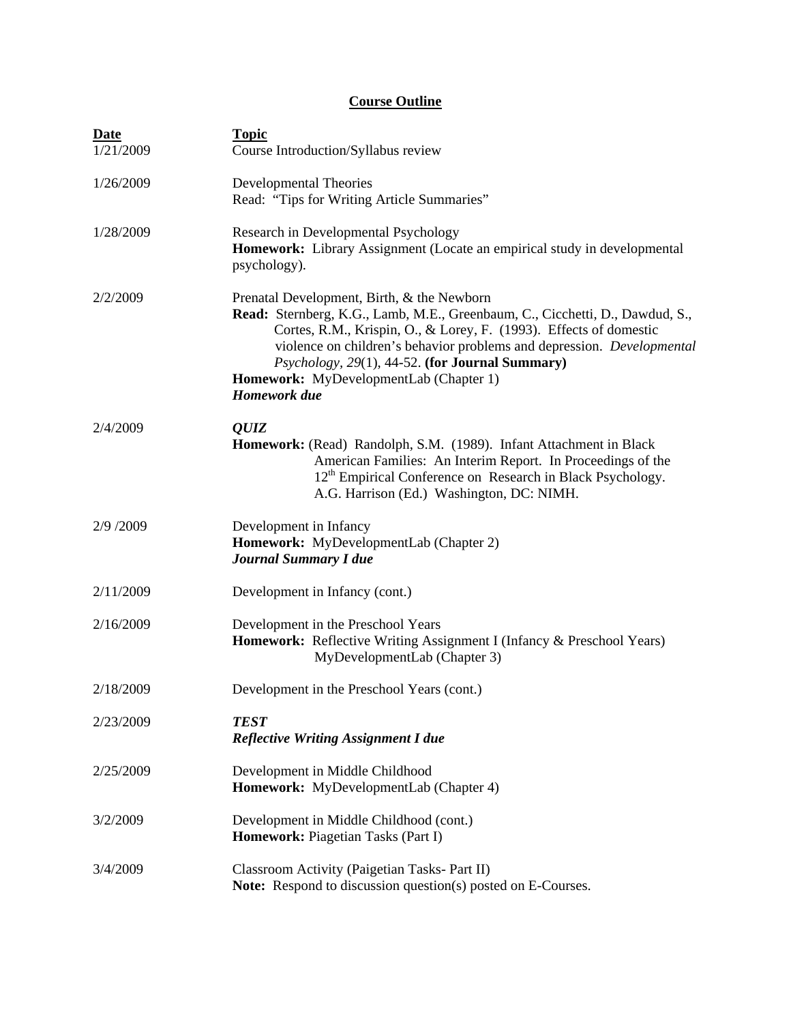# **Course Outline**

| <b>Date</b><br>1/21/2009 | <b>Topic</b><br>Course Introduction/Syllabus review                                                                                                                                                                                                                                                                                                                                            |
|--------------------------|------------------------------------------------------------------------------------------------------------------------------------------------------------------------------------------------------------------------------------------------------------------------------------------------------------------------------------------------------------------------------------------------|
| 1/26/2009                | <b>Developmental Theories</b><br>Read: "Tips for Writing Article Summaries"                                                                                                                                                                                                                                                                                                                    |
| 1/28/2009                | Research in Developmental Psychology<br>Homework: Library Assignment (Locate an empirical study in developmental<br>psychology).                                                                                                                                                                                                                                                               |
| 2/2/2009                 | Prenatal Development, Birth, & the Newborn<br>Read: Sternberg, K.G., Lamb, M.E., Greenbaum, C., Cicchetti, D., Dawdud, S.,<br>Cortes, R.M., Krispin, O., & Lorey, F. (1993). Effects of domestic<br>violence on children's behavior problems and depression. Developmental<br>Psychology, 29(1), 44-52. (for Journal Summary)<br>Homework: MyDevelopmentLab (Chapter 1)<br><b>Homework</b> due |
| 2/4/2009                 | QUIZ<br>Homework: (Read) Randolph, S.M. (1989). Infant Attachment in Black<br>American Families: An Interim Report. In Proceedings of the<br>12 <sup>th</sup> Empirical Conference on Research in Black Psychology.<br>A.G. Harrison (Ed.) Washington, DC: NIMH.                                                                                                                               |
| 2/9/2009                 | Development in Infancy<br>Homework: MyDevelopmentLab (Chapter 2)<br><b>Journal Summary I due</b>                                                                                                                                                                                                                                                                                               |
| 2/11/2009                | Development in Infancy (cont.)                                                                                                                                                                                                                                                                                                                                                                 |
| 2/16/2009                | Development in the Preschool Years<br>Homework: Reflective Writing Assignment I (Infancy & Preschool Years)<br>MyDevelopmentLab (Chapter 3)                                                                                                                                                                                                                                                    |
| 2/18/2009                | Development in the Preschool Years (cont.)                                                                                                                                                                                                                                                                                                                                                     |
| 2/23/2009                | <b>TEST</b><br><b>Reflective Writing Assignment I due</b>                                                                                                                                                                                                                                                                                                                                      |
| 2/25/2009                | Development in Middle Childhood<br>Homework: MyDevelopmentLab (Chapter 4)                                                                                                                                                                                                                                                                                                                      |
| 3/2/2009                 | Development in Middle Childhood (cont.)<br>Homework: Piagetian Tasks (Part I)                                                                                                                                                                                                                                                                                                                  |
| 3/4/2009                 | Classroom Activity (Paigetian Tasks- Part II)<br>Note: Respond to discussion question(s) posted on E-Courses.                                                                                                                                                                                                                                                                                  |